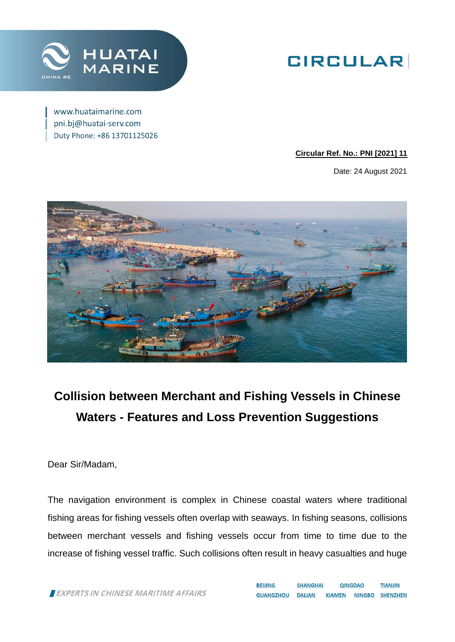

# **GIRCULAR**

www.huataimarine.com pni.bj@huatai-serv.com Duty Phone: +86 13701125026

#### **Circular Ref. No.: PNI [2021] 11**

Date: 24 August 2021



## **Collision between Merchant and Fishing Vessels in Chinese Waters - Features and Loss Prevention Suggestions**

Dear Sir/Madam,

The navigation environment is complex in Chinese coastal waters where traditional fishing areas for fishing vessels often overlap with seaways. In fishing seasons, collisions between merchant vessels and fishing vessels occur from time to time due to the increase of fishing vessel traffic. Such collisions often result in heavy casualties and huge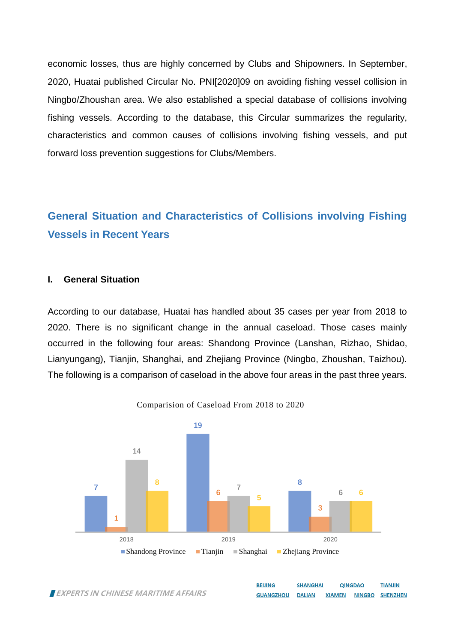economic losses, thus are highly concerned by Clubs and Shipowners. In September, 2020, Huatai published Circular No. PNI[2020]09 on avoiding fishing vessel collision in Ningbo/Zhoushan area. We also established a special database of collisions involving fishing vessels. According to the database, this Circular summarizes the regularity, characteristics and common causes of collisions involving fishing vessels, and put forward loss prevention suggestions for Clubs/Members.

## **General Situation and Characteristics of Collisions involving Fishing Vessels in Recent Years**

#### **I. General Situation**

According to our database, Huatai has handled about 35 cases per year from 2018 to 2020. There is no significant change in the annual caseload. Those cases mainly occurred in the following four areas: Shandong Province (Lanshan, Rizhao, Shidao, Lianyungang), Tianjin, Shanghai, and Zhejiang Province (Ningbo, Zhoushan, Taizhou). The following is a comparison of caseload in the above four areas in the past three years.



Comparision of Caseload From 2018 to 2020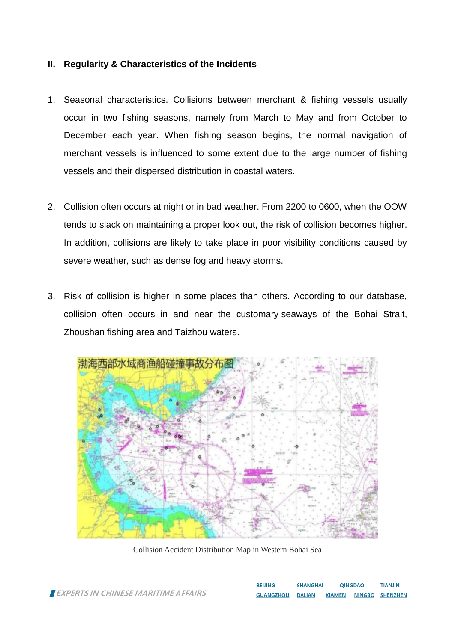#### **II. Regularity & Characteristics of the Incidents**

- 1. Seasonal characteristics. Collisions between merchant & fishing vessels usually occur in two fishing seasons, namely from March to May and from October to December each year. When fishing season begins, the normal navigation of merchant vessels is influenced to some extent due to the large number of fishing vessels and their dispersed distribution in coastal waters.
- 2. Collision often occurs at night or in bad weather. From 2200 to 0600, when the OOW tends to slack on maintaining a proper look out, the risk of collision becomes higher. In addition, collisions are likely to take place in poor visibility conditions caused by severe weather, such as dense fog and heavy storms.
- 3. Risk of collision is higher in some places than others. According to our database, collision often occurs in and near the customary seaways of the Bohai Strait, Zhoushan fishing area and Taizhou waters.



Collision Accident Distribution Map in Western Bohai Sea

| <b>BEIJING</b>   | <b>SHANGHAI</b> | <b>QINGDAO</b> |               | <b>TIANJIN</b>  |  |
|------------------|-----------------|----------------|---------------|-----------------|--|
| <b>GUANGZHOU</b> | <b>DALIAN</b>   | <b>XIAMEN</b>  | <b>NINGBO</b> | <b>SHENZHEN</b> |  |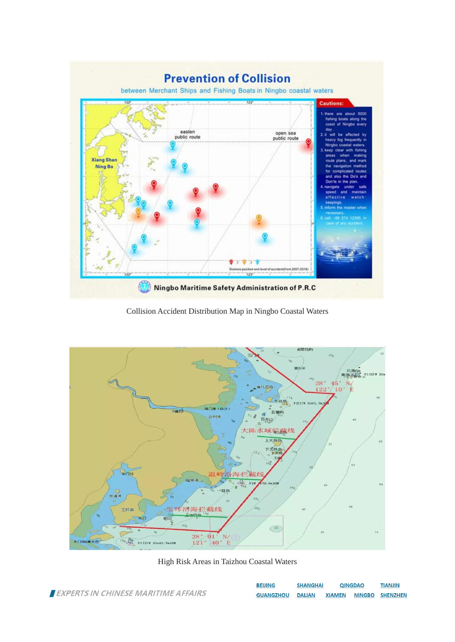

Collision Accident Distribution Map in Ningbo Coastal Waters



High Risk Areas in Taizhou Coastal Waters

|                                     | <b>BEIJING</b>          | <b>SHANGHAI</b> | <b>QINGDAO</b> | <b>TIANJIN</b>                |
|-------------------------------------|-------------------------|-----------------|----------------|-------------------------------|
| EXPERTS IN CHINESE MARITIME AFFAIRS | <b>GUANGZHOU DALIAN</b> |                 |                | <b>XIAMEN NINGBO SHENZHEN</b> |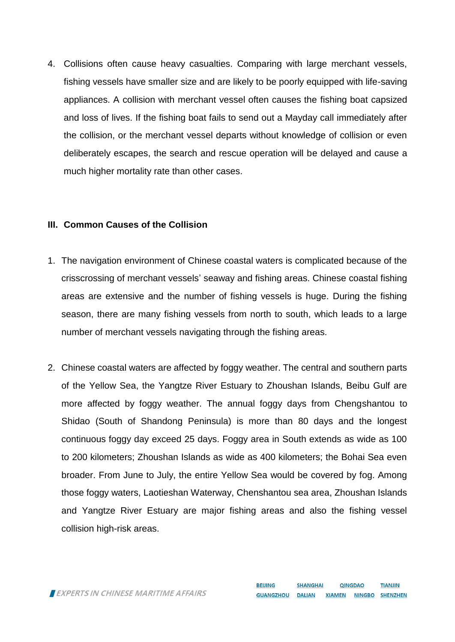4. Collisions often cause heavy casualties. Comparing with large merchant vessels, fishing vessels have smaller size and are likely to be poorly equipped with life-saving appliances. A collision with merchant vessel often causes the fishing boat capsized and loss of lives. If the fishing boat fails to send out a Mayday call immediately after the collision, or the merchant vessel departs without knowledge of collision or even deliberately escapes, the search and rescue operation will be delayed and cause a much higher mortality rate than other cases.

#### **III. Common Causes of the Collision**

- 1. The navigation environment of Chinese coastal waters is complicated because of the crisscrossing of merchant vessels' seaway and fishing areas. Chinese coastal fishing areas are extensive and the number of fishing vessels is huge. During the fishing season, there are many fishing vessels from north to south, which leads to a large number of merchant vessels navigating through the fishing areas.
- 2. Chinese coastal waters are affected by foggy weather. The central and southern parts of the Yellow Sea, the Yangtze River Estuary to Zhoushan Islands, Beibu Gulf are more affected by foggy weather. The annual foggy days from Chengshantou to Shidao (South of Shandong Peninsula) is more than 80 days and the longest continuous foggy day exceed 25 days. Foggy area in South extends as wide as 100 to 200 kilometers; Zhoushan Islands as wide as 400 kilometers; the Bohai Sea even broader. From June to July, the entire Yellow Sea would be covered by fog. Among those foggy waters, Laotieshan Waterway, Chenshantou sea area, Zhoushan Islands and Yangtze River Estuary are major fishing areas and also the fishing vessel collision high-risk areas.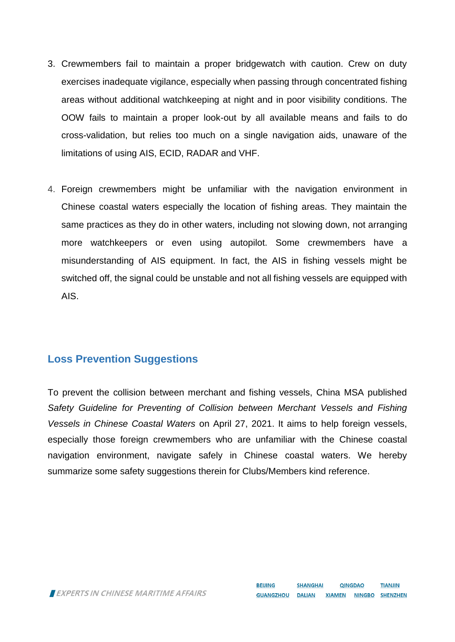- 3. Crewmembers fail to maintain a proper bridgewatch with caution. Crew on duty exercises inadequate vigilance, especially when passing through concentrated fishing areas without additional watchkeeping at night and in poor visibility conditions. The OOW fails to maintain a proper look-out by all available means and fails to do cross-validation, but relies too much on a single navigation aids, unaware of the limitations of using AIS, ECID, RADAR and VHF.
- 4. Foreign crewmembers might be unfamiliar with the navigation environment in Chinese coastal waters especially the location of fishing areas. They maintain the same practices as they do in other waters, including not slowing down, not arranging more watchkeepers or even using autopilot. Some crewmembers have a misunderstanding of AIS equipment. In fact, the AIS in fishing vessels might be switched off, the signal could be unstable and not all fishing vessels are equipped with AIS.

### **Loss Prevention Suggestions**

To prevent the collision between merchant and fishing vessels, China MSA published *Safety Guideline for Preventing of Collision between Merchant Vessels and Fishing Vessels in Chinese Coastal Waters* on April 27, 2021. It aims to help foreign vessels, especially those foreign crewmembers who are unfamiliar with the Chinese coastal navigation environment, navigate safely in Chinese coastal waters. We hereby summarize some safety suggestions therein for Clubs/Members kind reference.

EXPERTS IN CHINESE MARITIME AFFAIRS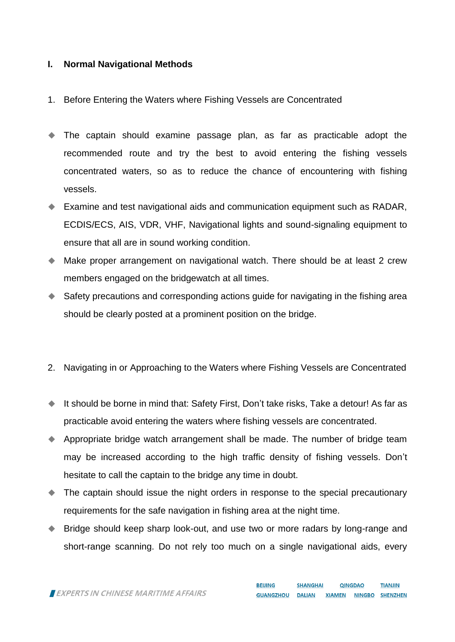#### **I. Normal Navigational Methods**

- 1. Before Entering the Waters where Fishing Vessels are Concentrated
- The captain should examine passage plan, as far as practicable adopt the recommended route and try the best to avoid entering the fishing vessels concentrated waters, so as to reduce the chance of encountering with fishing vessels.
- Examine and test navigational aids and communication equipment such as RADAR, ECDIS/ECS, AIS, VDR, VHF, Navigational lights and sound-signaling equipment to ensure that all are in sound working condition.
- Make proper arrangement on navigational watch. There should be at least 2 crew members engaged on the bridgewatch at all times.
- Safety precautions and corresponding actions guide for navigating in the fishing area should be clearly posted at a prominent position on the bridge.
- 2. Navigating in or Approaching to the Waters where Fishing Vessels are Concentrated
- It should be borne in mind that: Safety First, Don't take risks, Take a detour! As far as practicable avoid entering the waters where fishing vessels are concentrated.
- Appropriate bridge watch arrangement shall be made. The number of bridge team may be increased according to the high traffic density of fishing vessels. Don't hesitate to call the captain to the bridge any time in doubt.
- The captain should issue the night orders in response to the special precautionary requirements for the safe navigation in fishing area at the night time.
- ◆ Bridge should keep sharp look-out, and use two or more radars by long-range and short-range scanning. Do not rely too much on a single navigational aids, every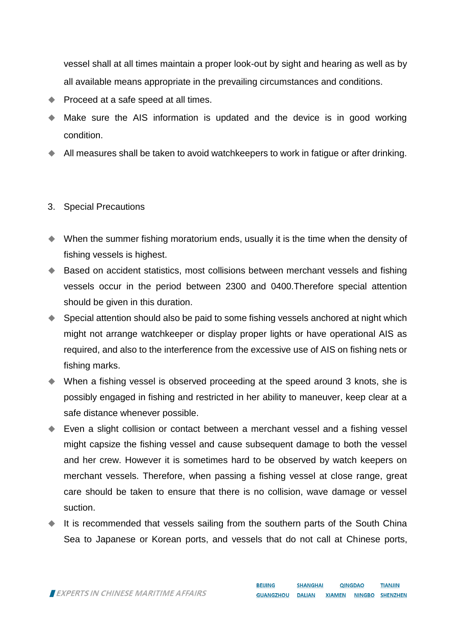vessel shall at all times maintain a proper look-out by sight and hearing as well as by all available means appropriate in the prevailing circumstances and conditions.

- Proceed at a safe speed at all times.
- Make sure the AIS information is updated and the device is in good working condition.
- All measures shall be taken to avoid watchkeepers to work in fatigue or after drinking.
- 3. Special Precautions
- When the summer fishing moratorium ends, usually it is the time when the density of fishing vessels is highest.
- ◆ Based on accident statistics, most collisions between merchant vessels and fishing vessels occur in the period between 2300 and 0400.Therefore special attention should be given in this duration.
- ◆ Special attention should also be paid to some fishing vessels anchored at night which might not arrange watchkeeper or display proper lights or have operational AIS as required, and also to the interference from the excessive use of AIS on fishing nets or fishing marks.
- When a fishing vessel is observed proceeding at the speed around 3 knots, she is possibly engaged in fishing and restricted in her ability to maneuver, keep clear at a safe distance whenever possible.
- Even a slight collision or contact between a merchant vessel and a fishing vessel might capsize the fishing vessel and cause subsequent damage to both the vessel and her crew. However it is sometimes hard to be observed by watch keepers on merchant vessels. Therefore, when passing a fishing vessel at close range, great care should be taken to ensure that there is no collision, wave damage or vessel suction.
- It is recommended that vessels sailing from the southern parts of the South China Sea to Japanese or Korean ports, and vessels that do not call at Chinese ports,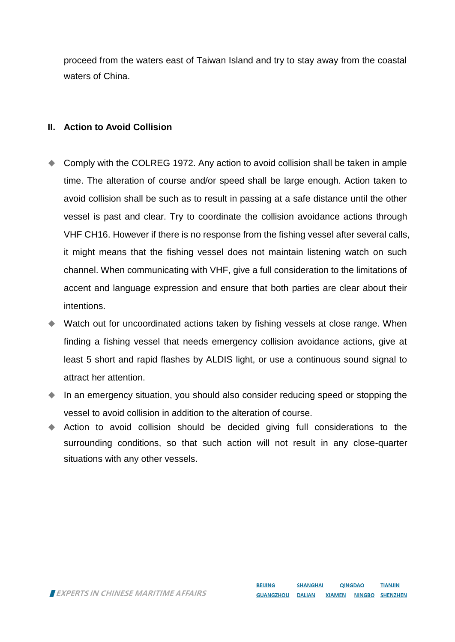proceed from the waters east of Taiwan Island and try to stay away from the coastal waters of China.

#### **II. Action to Avoid Collision**

- Comply with the COLREG 1972. Any action to avoid collision shall be taken in ample time. The alteration of course and/or speed shall be large enough. Action taken to avoid collision shall be such as to result in passing at a safe distance until the other vessel is past and clear. Try to coordinate the collision avoidance actions through VHF CH16. However if there is no response from the fishing vessel after several calls, it might means that the fishing vessel does not maintain listening watch on such channel. When communicating with VHF, give a full consideration to the limitations of accent and language expression and ensure that both parties are clear about their intentions.
- Watch out for uncoordinated actions taken by fishing vessels at close range. When finding a fishing vessel that needs emergency collision avoidance actions, give at least 5 short and rapid flashes by ALDIS light, or use a continuous sound signal to attract her attention.
- In an emergency situation, you should also consider reducing speed or stopping the vessel to avoid collision in addition to the alteration of course.
- Action to avoid collision should be decided giving full considerations to the surrounding conditions, so that such action will not result in any close-quarter situations with any other vessels.